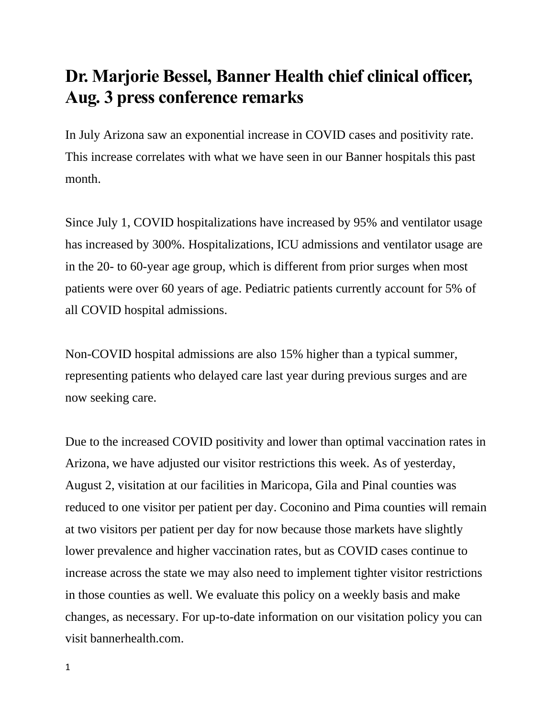## **Dr. Marjorie Bessel, Banner Health chief clinical officer, Aug. 3 press conference remarks**

In July Arizona saw an exponential increase in COVID cases and positivity rate. This increase correlates with what we have seen in our Banner hospitals this past month.

Since July 1, COVID hospitalizations have increased by 95% and ventilator usage has increased by 300%. Hospitalizations, ICU admissions and ventilator usage are in the 20- to 60-year age group, which is different from prior surges when most patients were over 60 years of age. Pediatric patients currently account for 5% of all COVID hospital admissions.

Non-COVID hospital admissions are also 15% higher than a typical summer, representing patients who delayed care last year during previous surges and are now seeking care.

Due to the increased COVID positivity and lower than optimal vaccination rates in Arizona, we have adjusted our visitor restrictions this week. As of yesterday, August 2, visitation at our facilities in Maricopa, Gila and Pinal counties was reduced to one visitor per patient per day. Coconino and Pima counties will remain at two visitors per patient per day for now because those markets have slightly lower prevalence and higher vaccination rates, but as COVID cases continue to increase across the state we may also need to implement tighter visitor restrictions in those counties as well. We evaluate this policy on a weekly basis and make changes, as necessary. For up-to-date information on our visitation policy you can visit bannerhealth.com.